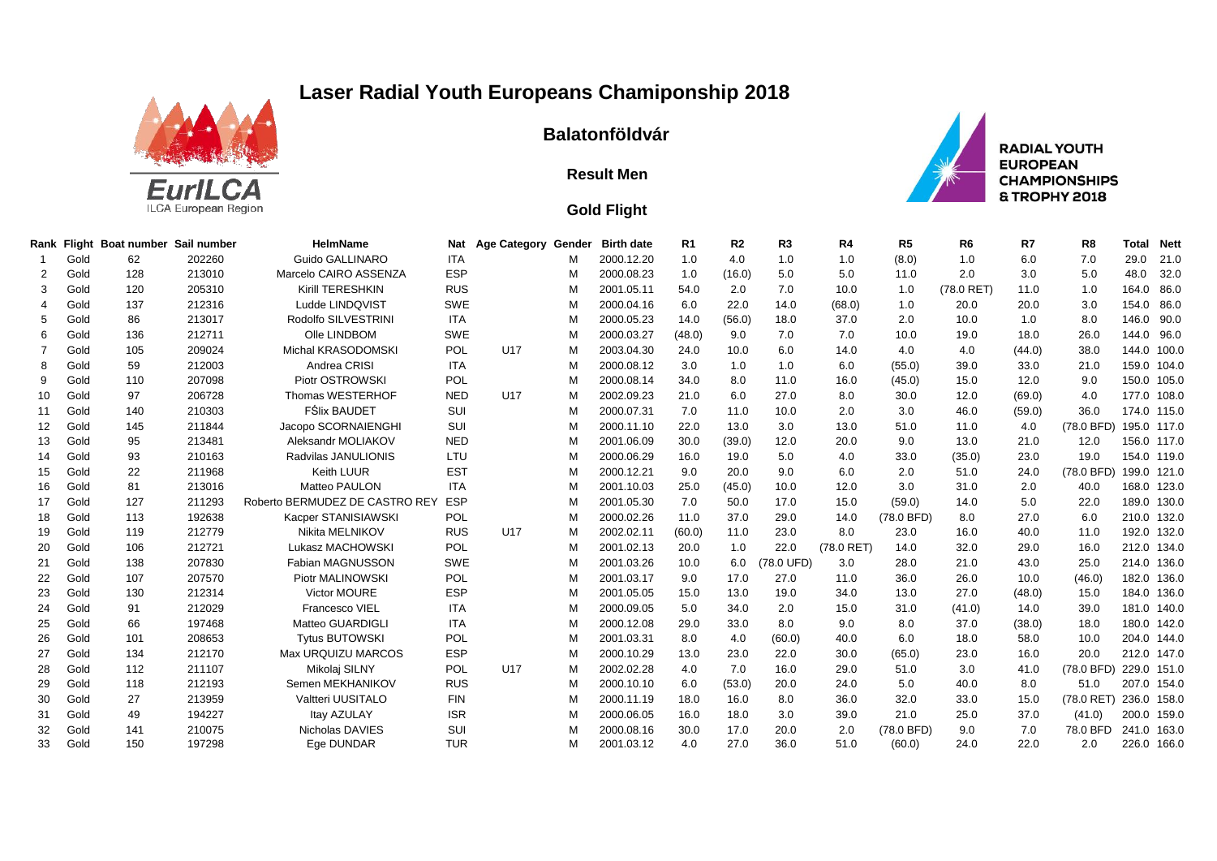## **Laser Radial Youth Europeans Chamiponship 2018**



## **Balatonföldvár**

## **Result Men**

## **Gold Flight**



**RADIAL YOUTH EUROPEAN CHAMPIONSHIPS** & TROPHY 2018

|    |      | Rank Flight Boat number Sail number |        | <b>HelmName</b>                | <b>Nat</b> | Age Category Gender |   | <b>Birth date</b> | R1     | R <sub>2</sub> | R <sub>3</sub> | R4           | R <sub>5</sub> | R <sub>6</sub> | R7     | R <sub>8</sub> | <b>Total</b> | <b>Nett</b> |
|----|------|-------------------------------------|--------|--------------------------------|------------|---------------------|---|-------------------|--------|----------------|----------------|--------------|----------------|----------------|--------|----------------|--------------|-------------|
|    | Gold | 62                                  | 202260 | Guido GALLINARO                | <b>ITA</b> |                     | М | 2000.12.20        | 1.0    | 4.0            | 1.0            | 1.0          | (8.0)          | 1.0            | 6.0    | 7.0            | 29.0         | 21.0        |
|    | Gold | 128                                 | 213010 | Marcelo CAIRO ASSENZA          | <b>ESP</b> |                     | м | 2000.08.23        | 1.0    | (16.0)         | 5.0            | 5.0          | 11.0           | 2.0            | 3.0    | 5.0            | 48.0         | 32.0        |
| 3  | Gold | 120                                 | 205310 | Kirill TERESHKIN               | <b>RUS</b> |                     | м | 2001.05.11        | 54.0   | 2.0            | 7.0            | 10.0         | 1.0            | (78.0 RET)     | 11.0   | 1.0            | 164.0        | 86.0        |
|    | Gold | 137                                 | 212316 | Ludde LINDQVIST                | <b>SWE</b> |                     | м | 2000.04.16        | 6.0    | 22.0           | 14.0           | (68.0)       | 1.0            | 20.0           | 20.0   | 3.0            | 154.0        | 86.0        |
| 5  | Gold | 86                                  | 213017 | Rodolfo SILVESTRINI            | <b>ITA</b> |                     | м | 2000.05.23        | 14.0   | (56.0)         | 18.0           | 37.0         | 2.0            | 10.0           | 1.0    | 8.0            |              | 146.0 90.0  |
|    | Gold | 136                                 | 212711 | Olle LINDBOM                   | <b>SWE</b> |                     | м | 2000.03.27        | (48.0) | 9.0            | 7.0            | 7.0          | 10.0           | 19.0           | 18.0   | 26.0           |              | 144.0 96.0  |
|    | Gold | 105                                 | 209024 | Michal KRASODOMSKI             | POL        | U <sub>17</sub>     | м | 2003.04.30        | 24.0   | 10.0           | 6.0            | 14.0         | 4.0            | 4.0            | (44.0) | 38.0           |              | 144.0 100.0 |
|    | Gold | 59                                  | 212003 | Andrea CRISI                   | <b>ITA</b> |                     | М | 2000.08.12        | 3.0    | 1.0            | 1.0            | 6.0          | (55.0)         | 39.0           | 33.0   | 21.0           |              | 159.0 104.0 |
|    | Gold | 110                                 | 207098 | Piotr OSTROWSKI                | POL        |                     | м | 2000.08.14        | 34.0   | 8.0            | 11.0           | 16.0         | (45.0)         | 15.0           | 12.0   | 9.0            |              | 150.0 105.0 |
| 10 | Gold | 97                                  | 206728 | Thomas WESTERHOF               | <b>NED</b> | U <sub>17</sub>     | м | 2002.09.23        | 21.0   | 6.0            | 27.0           | 8.0          | 30.0           | 12.0           | (69.0) | 4.0            |              | 177.0 108.0 |
| 11 | Gold | 140                                 | 210303 | <b>FŚlix BAUDET</b>            | SUI        |                     | м | 2000.07.31        | 7.0    | 11.0           | 10.0           | 2.0          | 3.0            | 46.0           | (59.0) | 36.0           |              | 174.0 115.0 |
| 12 | Gold | 145                                 | 211844 | Jacopo SCORNAIENGHI            | SUI        |                     | м | 2000.11.10        | 22.0   | 13.0           | 3.0            | 13.0         | 51.0           | 11.0           | 4.0    | (78.0 BFD)     |              | 195.0 117.0 |
| 13 | Gold | 95                                  | 213481 | Aleksandr MOLIAKOV             | <b>NED</b> |                     | М | 2001.06.09        | 30.0   | (39.0)         | 12.0           | 20.0         | 9.0            | 13.0           | 21.0   | 12.0           |              | 156.0 117.0 |
| 14 | Gold | 93                                  | 210163 | Radvilas JANULIONIS            | LTU        |                     | м | 2000.06.29        | 16.0   | 19.0           | 5.0            | 4.0          | 33.0           | (35.0)         | 23.0   | 19.0           |              | 154.0 119.0 |
| 15 | Gold | 22                                  | 211968 | Keith LUUR                     | <b>EST</b> |                     | M | 2000.12.21        | 9.0    | 20.0           | 9.0            | 6.0          | 2.0            | 51.0           | 24.0   | (78.0 BFD)     |              | 199.0 121.0 |
| 16 | Gold | 81                                  | 213016 | Matteo PAULON                  | <b>ITA</b> |                     | М | 2001.10.03        | 25.0   | (45.0)         | 10.0           | 12.0         | 3.0            | 31.0           | 2.0    | 40.0           |              | 168.0 123.0 |
| 17 | Gold | 127                                 | 211293 | Roberto BERMUDEZ DE CASTRO REY | <b>ESP</b> |                     | м | 2001.05.30        | 7.0    | 50.0           | 17.0           | 15.0         | (59.0)         | 14.0           | 5.0    | 22.0           |              | 189.0 130.0 |
| 18 | Gold | 113                                 | 192638 | Kacper STANISIAWSKI            | POL        |                     | М | 2000.02.26        | 11.0   | 37.0           | 29.0           | 14.0         | (78.0 BFD)     | 8.0            | 27.0   | 6.0            |              | 210.0 132.0 |
| 19 | Gold | 119                                 | 212779 | Nikita MELNIKOV                | <b>RUS</b> | U <sub>17</sub>     | м | 2002.02.11        | (60.0) | 11.0           | 23.0           | 8.0          | 23.0           | 16.0           | 40.0   | 11.0           |              | 192.0 132.0 |
| 20 | Gold | 106                                 | 212721 | Lukasz MACHOWSKI               | POL        |                     | М | 2001.02.13        | 20.0   | 1.0            | 22.0           | $(78.0$ RET) | 14.0           | 32.0           | 29.0   | 16.0           |              | 212.0 134.0 |
| 21 | Gold | 138                                 | 207830 | Fabian MAGNUSSON               | <b>SWE</b> |                     | М | 2001.03.26        | 10.0   | 6.0            | (78.0 UFD)     | 3.0          | 28.0           | 21.0           | 43.0   | 25.0           |              | 214.0 136.0 |
| 22 | Gold | 107                                 | 207570 | Piotr MALINOWSKI               | POL        |                     | м | 2001.03.17        | 9.0    | 17.0           | 27.0           | 11.0         | 36.0           | 26.0           | 10.0   | (46.0)         |              | 182.0 136.0 |
| 23 | Gold | 130                                 | 212314 | Victor MOURE                   | <b>ESP</b> |                     | м | 2001.05.05        | 15.0   | 13.0           | 19.0           | 34.0         | 13.0           | 27.0           | (48.0) | 15.0           |              | 184.0 136.0 |
| 24 | Gold | 91                                  | 212029 | Francesco VIEL                 | <b>ITA</b> |                     | M | 2000.09.05        | 5.0    | 34.0           | 2.0            | 15.0         | 31.0           | (41.0)         | 14.0   | 39.0           |              | 181.0 140.0 |
| 25 | Gold | 66                                  | 197468 | Matteo GUARDIGLI               | <b>ITA</b> |                     | м | 2000.12.08        | 29.0   | 33.0           | 8.0            | 9.0          | 8.0            | 37.0           | (38.0) | 18.0           |              | 180.0 142.0 |
| 26 | Gold | 101                                 | 208653 | <b>Tvtus BUTOWSKI</b>          | POL        |                     | м | 2001.03.31        | 8.0    | 4.0            | (60.0)         | 40.0         | 6.0            | 18.0           | 58.0   | 10.0           |              | 204.0 144.0 |
| 27 | Gold | 134                                 | 212170 | Max URQUIZU MARCOS             | <b>ESP</b> |                     | м | 2000.10.29        | 13.0   | 23.0           | 22.0           | 30.0         | (65.0)         | 23.0           | 16.0   | 20.0           |              | 212.0 147.0 |
| 28 | Gold | 112                                 | 211107 | Mikolaj SILNY                  | POL        | U <sub>17</sub>     | м | 2002.02.28        | 4.0    | 7.0            | 16.0           | 29.0         | 51.0           | 3.0            | 41.0   | (78.0 BFD)     |              | 229.0 151.0 |
| 29 | Gold | 118                                 | 212193 | Semen MEKHANIKOV               | <b>RUS</b> |                     | м | 2000.10.10        | 6.0    | (53.0)         | 20.0           | 24.0         | 5.0            | 40.0           | 8.0    | 51.0           |              | 207.0 154.0 |
| 30 | Gold | 27                                  | 213959 | Valtteri UUSITALO              | <b>FIN</b> |                     | М | 2000.11.19        | 18.0   | 16.0           | 8.0            | 36.0         | 32.0           | 33.0           | 15.0   | $(78.0$ RET)   |              | 236.0 158.0 |
| 31 | Gold | 49                                  | 194227 | Itay AZULAY                    | <b>ISR</b> |                     | м | 2000.06.05        | 16.0   | 18.0           | 3.0            | 39.0         | 21.0           | 25.0           | 37.0   | (41.0)         |              | 200.0 159.0 |
| 32 | Gold | 141                                 | 210075 | Nicholas DAVIES                | SUI        |                     | м | 2000.08.16        | 30.0   | 17.0           | 20.0           | 2.0          | (78.0 BFD)     | 9.0            | 7.0    | 78.0 BFD       |              | 241.0 163.0 |
| 33 | Gold | 150                                 | 197298 | Ege DUNDAR                     | <b>TUR</b> |                     | м | 2001.03.12        | 4.0    | 27.0           | 36.0           | 51.0         | (60.0)         | 24.0           | 22.0   | 2.0            |              | 226.0 166.0 |